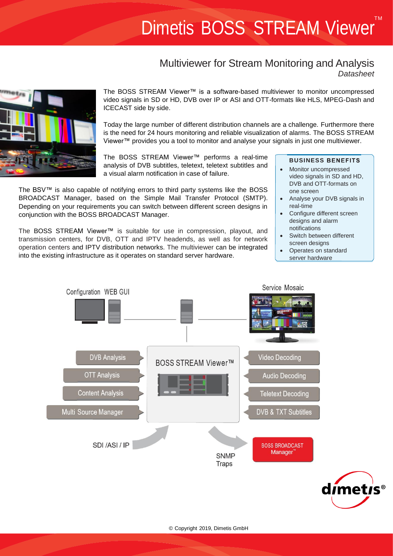# TM Dimetis BOSS STREAM Viewer

# Multiviewer for Stream Monitoring and Analysis *Datasheet*



The BOSS STREAM Viewer™ is a software-based multiviewer to monitor uncompressed video signals in SD or HD, DVB over IP or ASI and OTT-formats like HLS, MPEG-Dash and ICECAST side by side.

Today the large number of different distribution channels are a challenge. Furthermore there is the need for 24 hours monitoring and reliable visualization of alarms. The BOSS STREAM Viewer™ provides you a tool to monitor and analyse your signals in just one multiviewer.

The BOSS STREAM Viewer™ performs a real-time analysis of DVB subtitles, teletext, teletext subtitles and a visual alarm notification in case of failure.

The BSV™ is also capable of notifying errors to third party systems like the BOSS BROADCAST Manager, based on the Simple Mail Transfer Protocol (SMTP). Depending on your requirements you can switch between different screen designs in conjunction with the BOSS BROADCAST Manager.

The BOSS STREAM Viewer™ is suitable for use in compression, playout, and transmission centers, for DVB, OTT and IPTV headends, as well as for network operation centers and IPTV distribution networks. The multiviewer can be integrated into the existing infrastructure as it operates on standard server hardware.

# **BUSINESS BENEFITS**

- Monitor uncompressed video signals in SD and HD, DVB and OTT-formats on one screen
- Analyse your DVB signals in real-time
- Configure different screen designs and alarm notifications
- Switch between different screen designs
- Operates on standard server hardware